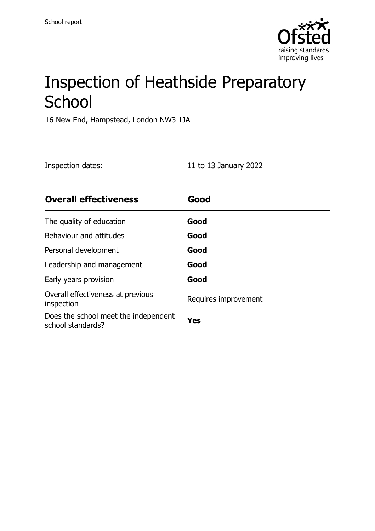

# Inspection of Heathside Preparatory **School**

16 New End, Hampstead, London NW3 1JA

| Inspection dates: | 11 to 13 January 2022 |
|-------------------|-----------------------|
|                   |                       |

| <b>Overall effectiveness</b>                              | Good                 |
|-----------------------------------------------------------|----------------------|
| The quality of education                                  | Good                 |
| Behaviour and attitudes                                   | Good                 |
| Personal development                                      | Good                 |
| Leadership and management                                 | Good                 |
| Early years provision                                     | Good                 |
| Overall effectiveness at previous<br>inspection           | Requires improvement |
| Does the school meet the independent<br>school standards? | Yes                  |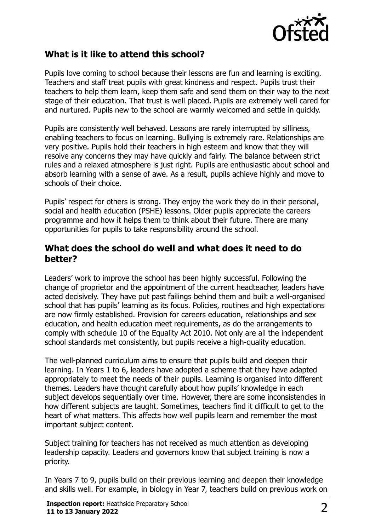

#### **What is it like to attend this school?**

Pupils love coming to school because their lessons are fun and learning is exciting. Teachers and staff treat pupils with great kindness and respect. Pupils trust their teachers to help them learn, keep them safe and send them on their way to the next stage of their education. That trust is well placed. Pupils are extremely well cared for and nurtured. Pupils new to the school are warmly welcomed and settle in quickly.

Pupils are consistently well behaved. Lessons are rarely interrupted by silliness, enabling teachers to focus on learning. Bullying is extremely rare. Relationships are very positive. Pupils hold their teachers in high esteem and know that they will resolve any concerns they may have quickly and fairly. The balance between strict rules and a relaxed atmosphere is just right. Pupils are enthusiastic about school and absorb learning with a sense of awe. As a result, pupils achieve highly and move to schools of their choice.

Pupils' respect for others is strong. They enjoy the work they do in their personal, social and health education (PSHE) lessons. Older pupils appreciate the careers programme and how it helps them to think about their future. There are many opportunities for pupils to take responsibility around the school.

#### **What does the school do well and what does it need to do better?**

Leaders' work to improve the school has been highly successful. Following the change of proprietor and the appointment of the current headteacher, leaders have acted decisively. They have put past failings behind them and built a well-organised school that has pupils' learning as its focus. Policies, routines and high expectations are now firmly established. Provision for careers education, relationships and sex education, and health education meet requirements, as do the arrangements to comply with schedule 10 of the Equality Act 2010. Not only are all the independent school standards met consistently, but pupils receive a high-quality education.

The well-planned curriculum aims to ensure that pupils build and deepen their learning. In Years 1 to 6, leaders have adopted a scheme that they have adapted appropriately to meet the needs of their pupils. Learning is organised into different themes. Leaders have thought carefully about how pupils' knowledge in each subject develops sequentially over time. However, there are some inconsistencies in how different subjects are taught. Sometimes, teachers find it difficult to get to the heart of what matters. This affects how well pupils learn and remember the most important subject content.

Subject training for teachers has not received as much attention as developing leadership capacity. Leaders and governors know that subject training is now a priority.

In Years 7 to 9, pupils build on their previous learning and deepen their knowledge and skills well. For example, in biology in Year 7, teachers build on previous work on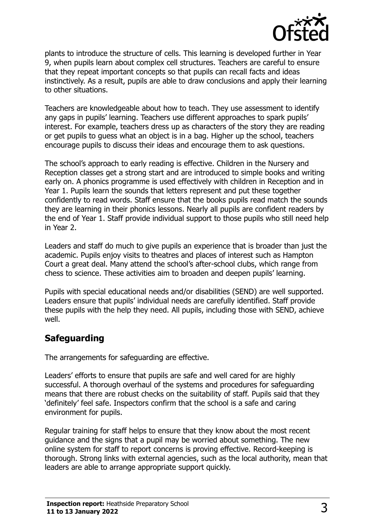

plants to introduce the structure of cells. This learning is developed further in Year 9, when pupils learn about complex cell structures. Teachers are careful to ensure that they repeat important concepts so that pupils can recall facts and ideas instinctively. As a result, pupils are able to draw conclusions and apply their learning to other situations.

Teachers are knowledgeable about how to teach. They use assessment to identify any gaps in pupils' learning. Teachers use different approaches to spark pupils' interest. For example, teachers dress up as characters of the story they are reading or get pupils to guess what an object is in a bag. Higher up the school, teachers encourage pupils to discuss their ideas and encourage them to ask questions.

The school's approach to early reading is effective. Children in the Nursery and Reception classes get a strong start and are introduced to simple books and writing early on. A phonics programme is used effectively with children in Reception and in Year 1. Pupils learn the sounds that letters represent and put these together confidently to read words. Staff ensure that the books pupils read match the sounds they are learning in their phonics lessons. Nearly all pupils are confident readers by the end of Year 1. Staff provide individual support to those pupils who still need help in Year 2.

Leaders and staff do much to give pupils an experience that is broader than just the academic. Pupils enjoy visits to theatres and places of interest such as Hampton Court a great deal. Many attend the school's after-school clubs, which range from chess to science. These activities aim to broaden and deepen pupils' learning.

Pupils with special educational needs and/or disabilities (SEND) are well supported. Leaders ensure that pupils' individual needs are carefully identified. Staff provide these pupils with the help they need. All pupils, including those with SEND, achieve well.

### **Safeguarding**

The arrangements for safeguarding are effective.

Leaders' efforts to ensure that pupils are safe and well cared for are highly successful. A thorough overhaul of the systems and procedures for safeguarding means that there are robust checks on the suitability of staff. Pupils said that they 'definitely' feel safe. Inspectors confirm that the school is a safe and caring environment for pupils.

Regular training for staff helps to ensure that they know about the most recent guidance and the signs that a pupil may be worried about something. The new online system for staff to report concerns is proving effective. Record-keeping is thorough. Strong links with external agencies, such as the local authority, mean that leaders are able to arrange appropriate support quickly.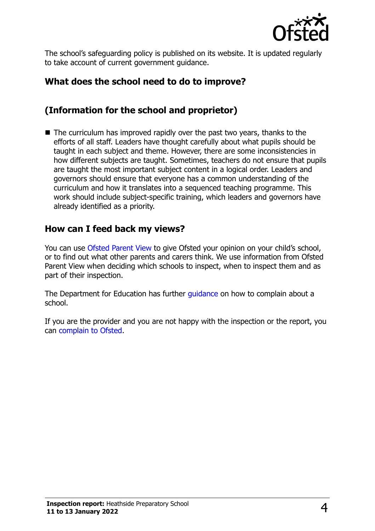

The school's safeguarding policy is published on its website. It is updated regularly to take account of current government guidance.

## **What does the school need to do to improve?**

## **(Information for the school and proprietor)**

 $\blacksquare$  The curriculum has improved rapidly over the past two years, thanks to the efforts of all staff. Leaders have thought carefully about what pupils should be taught in each subject and theme. However, there are some inconsistencies in how different subjects are taught. Sometimes, teachers do not ensure that pupils are taught the most important subject content in a logical order. Leaders and governors should ensure that everyone has a common understanding of the curriculum and how it translates into a sequenced teaching programme. This work should include subject-specific training, which leaders and governors have already identified as a priority.

#### **How can I feed back my views?**

You can use [Ofsted Parent View](http://parentview.ofsted.gov.uk/) to give Ofsted your opinion on your child's school, or to find out what other parents and carers think. We use information from Ofsted Parent View when deciding which schools to inspect, when to inspect them and as part of their inspection.

The Department for Education has further quidance on how to complain about a school.

If you are the provider and you are not happy with the inspection or the report, you can [complain to Ofsted.](http://www.gov.uk/complain-ofsted-report)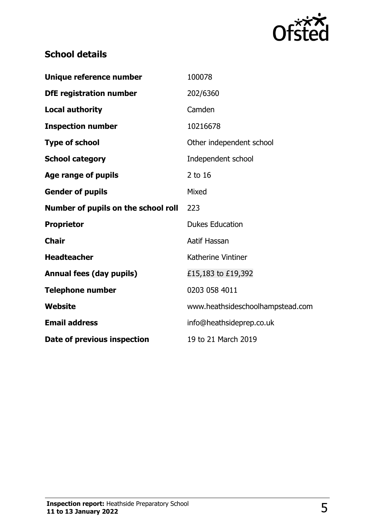

## **School details**

| Unique reference number             | 100078                           |
|-------------------------------------|----------------------------------|
| <b>DfE registration number</b>      | 202/6360                         |
| <b>Local authority</b>              | Camden                           |
| <b>Inspection number</b>            | 10216678                         |
| <b>Type of school</b>               | Other independent school         |
| <b>School category</b>              | Independent school               |
| Age range of pupils                 | 2 to 16                          |
| <b>Gender of pupils</b>             | Mixed                            |
| Number of pupils on the school roll | 223                              |
| <b>Proprietor</b>                   | <b>Dukes Education</b>           |
| <b>Chair</b>                        | Aatif Hassan                     |
| <b>Headteacher</b>                  | Katherine Vintiner               |
| <b>Annual fees (day pupils)</b>     | £15,183 to £19,392               |
| <b>Telephone number</b>             | 0203 058 4011                    |
| <b>Website</b>                      | www.heathsideschoolhampstead.com |
| <b>Email address</b>                | info@heathsideprep.co.uk         |
| Date of previous inspection         | 19 to 21 March 2019              |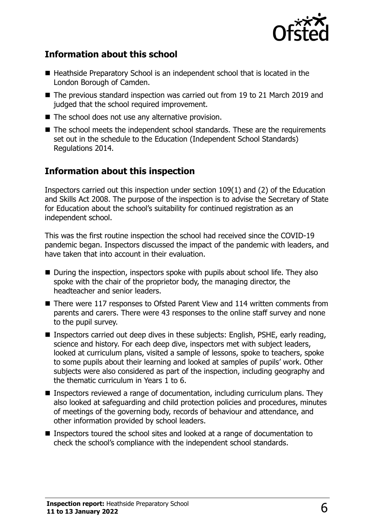

#### **Information about this school**

- Heathside Preparatory School is an independent school that is located in the London Borough of Camden.
- The previous standard inspection was carried out from 19 to 21 March 2019 and judged that the school required improvement.
- The school does not use any alternative provision.
- The school meets the independent school standards. These are the requirements set out in the schedule to the Education (Independent School Standards) Regulations 2014.

## **Information about this inspection**

Inspectors carried out this inspection under section 109(1) and (2) of the Education and Skills Act 2008. The purpose of the inspection is to advise the Secretary of State for Education about the school's suitability for continued registration as an independent school.

This was the first routine inspection the school had received since the COVID-19 pandemic began. Inspectors discussed the impact of the pandemic with leaders, and have taken that into account in their evaluation.

- During the inspection, inspectors spoke with pupils about school life. They also spoke with the chair of the proprietor body, the managing director, the headteacher and senior leaders.
- There were 117 responses to Ofsted Parent View and 114 written comments from parents and carers. There were 43 responses to the online staff survey and none to the pupil survey.
- Inspectors carried out deep dives in these subjects: English, PSHE, early reading, science and history. For each deep dive, inspectors met with subject leaders, looked at curriculum plans, visited a sample of lessons, spoke to teachers, spoke to some pupils about their learning and looked at samples of pupils' work. Other subjects were also considered as part of the inspection, including geography and the thematic curriculum in Years 1 to 6.
- Inspectors reviewed a range of documentation, including curriculum plans. They also looked at safeguarding and child protection policies and procedures, minutes of meetings of the governing body, records of behaviour and attendance, and other information provided by school leaders.
- Inspectors toured the school sites and looked at a range of documentation to check the school's compliance with the independent school standards.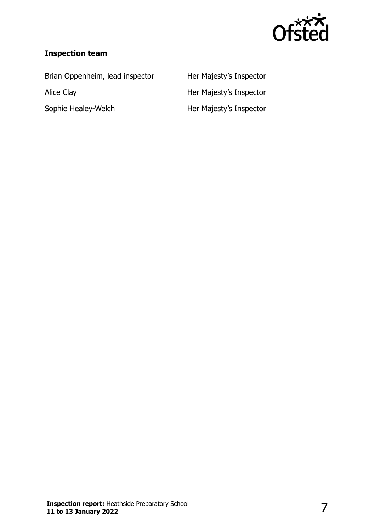

#### **Inspection team**

Brian Oppenheim, lead inspector Her Majesty's Inspector Alice Clay **Alice Clay Her Majesty's Inspector** Sophie Healey-Welch Her Majesty's Inspector